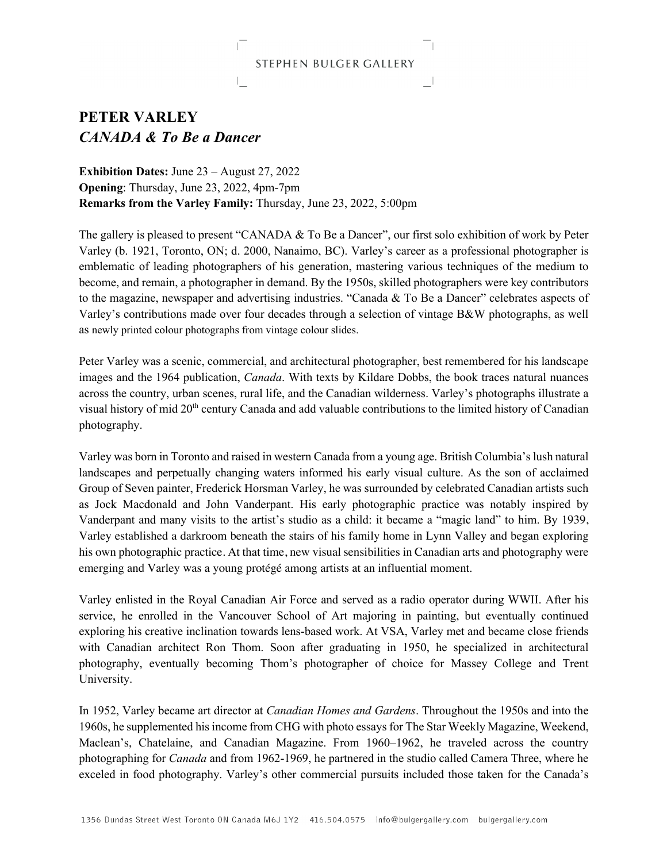## STEPHEN BULGER GALLERY

## **PETER VARLEY**  *CANADA & To Be a Dancer*

**Exhibition Dates:** June 23 – August 27, 2022 **Opening**: Thursday, June 23, 2022, 4pm-7pm **Remarks from the Varley Family:** Thursday, June 23, 2022, 5:00pm

The gallery is pleased to present "CANADA & To Be a Dancer", our first solo exhibition of work by Peter Varley (b. 1921, Toronto, ON; d. 2000, Nanaimo, BC). Varley's career as a professional photographer is emblematic of leading photographers of his generation, mastering various techniques of the medium to become, and remain, a photographer in demand. By the 1950s, skilled photographers were key contributors to the magazine, newspaper and advertising industries. "Canada & To Be a Dancer" celebrates aspects of Varley's contributions made over four decades through a selection of vintage B&W photographs, as well as newly printed colour photographs from vintage colour slides.

Peter Varley was a scenic, commercial, and architectural photographer, best remembered for his landscape images and the 1964 publication, *Canada*. With texts by Kildare Dobbs, the book traces natural nuances across the country, urban scenes, rural life, and the Canadian wilderness. Varley's photographs illustrate a visual history of mid 20<sup>th</sup> century Canada and add valuable contributions to the limited history of Canadian photography.

Varley was born in Toronto and raised in western Canada from a young age. British Columbia's lush natural landscapes and perpetually changing waters informed his early visual culture. As the son of acclaimed Group of Seven painter, Frederick Horsman Varley, he was surrounded by celebrated Canadian artists such as Jock Macdonald and John Vanderpant. His early photographic practice was notably inspired by Vanderpant and many visits to the artist's studio as a child: it became a "magic land" to him. By 1939, Varley established a darkroom beneath the stairs of his family home in Lynn Valley and began exploring his own photographic practice. At that time, new visual sensibilities in Canadian arts and photography were emerging and Varley was a young protégé among artists at an influential moment.

Varley enlisted in the Royal Canadian Air Force and served as a radio operator during WWII. After his service, he enrolled in the Vancouver School of Art majoring in painting, but eventually continued exploring his creative inclination towards lens-based work. At VSA, Varley met and became close friends with Canadian architect Ron Thom. Soon after graduating in 1950, he specialized in architectural photography, eventually becoming Thom's photographer of choice for Massey College and Trent University.

In 1952, Varley became art director at *Canadian Homes and Gardens*. Throughout the 1950s and into the 1960s, he supplemented his income from CHG with photo essays for The Star Weekly Magazine, Weekend, Maclean's, Chatelaine, and Canadian Magazine. From 1960–1962, he traveled across the country photographing for *Canada* and from 1962-1969, he partnered in the studio called Camera Three, where he exceled in food photography. Varley's other commercial pursuits included those taken for the Canada's